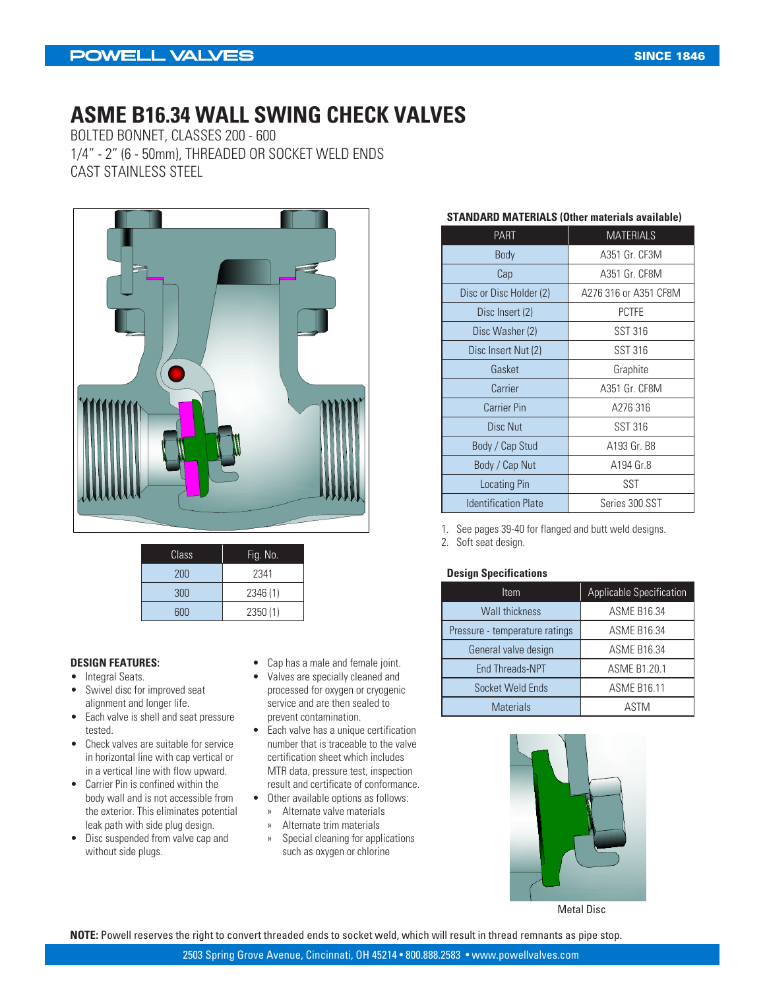### **POWELL VALVES**

### **ASME B16.34 WALL SWING CHECK VALVES**

BOLTED BONNET, CLASSES 200 - 600 1/4" - 2" (6 - 50mm), THREADED OR SOCKET WELD ENDS CAST STAINLESS STEEL



| Class | Fig. No. |
|-------|----------|
| 200   | 2341     |
| 300   | 2346 (1) |
| 600   | 2350(1)  |

#### **DESIGN FEATURES:**

- Integral Seats.
- Swivel disc for improved seat alignment and longer life.
- Each valve is shell and seat pressure tested.
- Check valves are suitable for service in horizontal line with cap vertical or in a vertical line with flow upward.
- Carrier Pin is confined within the body wall and is not accessible from the exterior. This eliminates potential leak path with side plug design.
- Disc suspended from valve cap and without side plugs.
- Cap has a male and female joint.
- Valves are specially cleaned and processed for oxygen or cryogenic service and are then sealed to prevent contamination.
- Each valve has a unique certification number that is traceable to the valve certification sheet which includes MTR data, pressure test, inspection result and certificate of conformance.
- Other available options as follows:
	- » Alternate valve materials
	- » Alternate trim materials
	- » Special cleaning for applications such as oxygen or chlorine

#### **STANDARD MATERIALS (Other materials available)**

| <b>PART</b>                 | <b>MATERIALS</b>      |  |  |  |  |
|-----------------------------|-----------------------|--|--|--|--|
| Body                        | A351 Gr. CF3M         |  |  |  |  |
| Cap                         | A351 Gr. CF8M         |  |  |  |  |
| Disc or Disc Holder (2)     | A276 316 or A351 CF8M |  |  |  |  |
| Disc Insert (2)             | <b>PCTFE</b>          |  |  |  |  |
| Disc Washer (2)             | <b>SST 316</b>        |  |  |  |  |
| Disc Insert Nut (2)         | <b>SST 316</b>        |  |  |  |  |
| Gasket                      | Graphite              |  |  |  |  |
| Carrier                     | A351 Gr. CF8M         |  |  |  |  |
| <b>Carrier Pin</b>          | A276 316              |  |  |  |  |
| Disc Nut                    | SST 316               |  |  |  |  |
| Body / Cap Stud             | A193 Gr. B8           |  |  |  |  |
| Body / Cap Nut              | A194 Gr.8             |  |  |  |  |
| Locating Pin                | SST                   |  |  |  |  |
| <b>Identification Plate</b> | Series 300 SST        |  |  |  |  |

1. See pages 39-40 for flanged and butt weld designs.

2. Soft seat design.

#### **Design Specifications**

| Item                           | <b>Applicable Specification</b> |
|--------------------------------|---------------------------------|
| <b>Wall thickness</b>          | <b>ASME B16.34</b>              |
| Pressure - temperature ratings | <b>ASME B16.34</b>              |
| General valve design           | <b>ASME B16.34</b>              |
| <b>End Threads-NPT</b>         | <b>ASME B1.20.1</b>             |
| Socket Weld Ends               | <b>ASME B16.11</b>              |
| <b>Materials</b>               | ASTM                            |



Metal Disc

**NOTE:** Powell reserves the right to convert threaded ends to socket weld, which will result in thread remnants as pipe stop.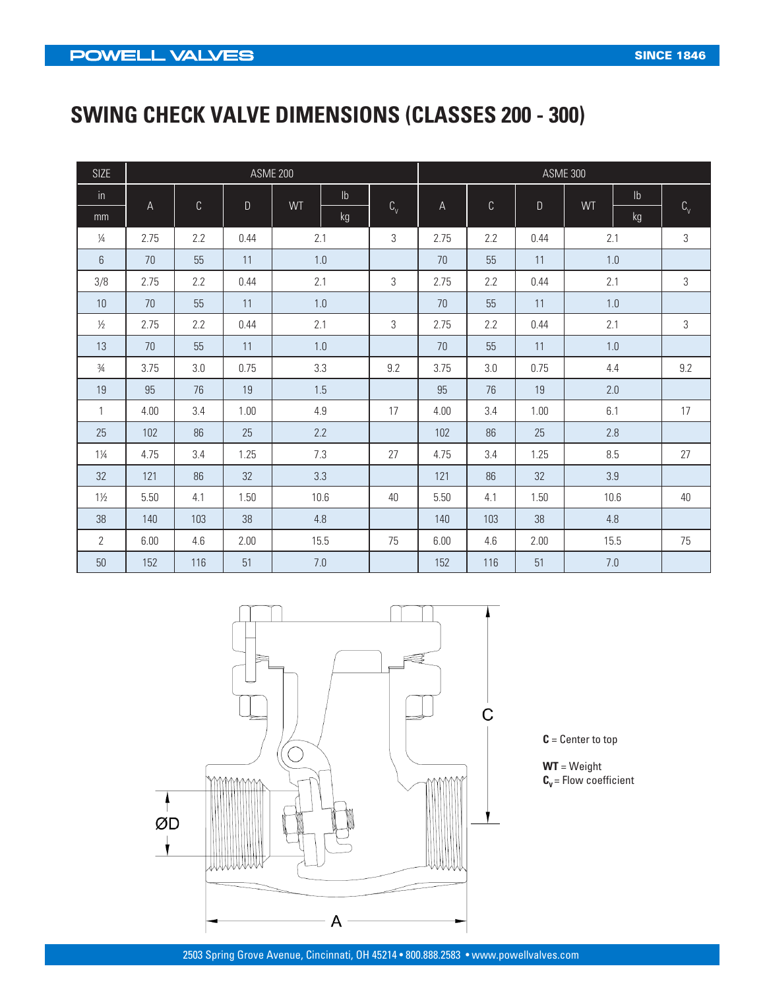# **SWING CHECK VALVE DIMENSIONS (CLASSES 200 - 300)**

| <b>SIZE</b>    | <b>ASME 200</b><br><b>ASME 300</b> |             |              |         |               |            |      |     |              |      |               |                |
|----------------|------------------------------------|-------------|--------------|---------|---------------|------------|------|-----|--------------|------|---------------|----------------|
| in             | A                                  | $\mathbb C$ | $\mathsf{D}$ | WT      | $\mathsf{lb}$ |            | А    | C   | $\mathsf{D}$ | WT   | $\mathsf{lb}$ |                |
| mm             |                                    |             |              |         | kg            | $C_{\vee}$ |      |     |              |      | kg            | $C_{\vee}$     |
| $\frac{1}{4}$  | 2.75                               | 2.2         | 0.44         | 2.1     |               | 3          | 2.75 | 2.2 | 0.44         | 2.1  |               | 3              |
| 6              | 70                                 | 55          | 11           | $1.0\,$ |               |            | 70   | 55  | 11           | 1.0  |               |                |
| 3/8            | 2.75                               | 2.2         | 0.44         | 2.1     |               | 3          | 2.75 | 2.2 | 0.44         | 2.1  |               | $\mathfrak{Z}$ |
| 10             | 70                                 | 55          | 11           | 1.0     |               |            | 70   | 55  | 11           | 1.0  |               |                |
| $\frac{1}{2}$  | 2.75                               | 2.2         | 0.44         |         | 2.1           |            | 2.75 | 2.2 | 0.44         | 2.1  |               | 3              |
| 13             | 70                                 | 55          | 11           |         | 1.0           |            | 70   | 55  | 11           | 1.0  |               |                |
| $\frac{3}{4}$  | 3.75                               | 3.0         | 0.75         |         | 3.3           |            | 3.75 | 3.0 | 0.75         | 4.4  |               | 9.2            |
| 19             | 95                                 | 76          | 19           |         | 1.5           |            | 95   | 76  | 19           | 2.0  |               |                |
| 1              | 4.00                               | 3.4         | 1.00         | $4.9\,$ |               | 17         | 4.00 | 3.4 | 1.00         | 6.1  |               | 17             |
| 25             | 102                                | 86          | 25           |         | 2.2           |            | 102  | 86  | 25           | 2.8  |               |                |
| $1\frac{1}{4}$ | 4.75                               | 3.4         | 1.25         |         | 7.3           |            | 4.75 | 3.4 | 1.25         | 8.5  |               | 27             |
| 32             | 121                                | 86          | 32           |         | 3.3           |            | 121  | 86  | 32           | 3.9  |               |                |
| $1\frac{1}{2}$ | 5.50                               | 4.1         | 1.50         |         | 10.6          |            | 5.50 | 4.1 | 1.50         | 10.6 |               | 40             |
| 38             | 140                                | 103         | 38           |         | 4.8           |            | 140  | 103 | 38           | 4.8  |               |                |
| $\overline{2}$ | 6.00                               | 4.6         | 2.00         | 15.5    |               | 75         | 6.00 | 4.6 | 2.00         | 15.5 |               | 75             |
| 50             | 152                                | 116         | 51           | 7.0     |               |            | 152  | 116 | 51           | 7.0  |               |                |



**C** = Center to top

**WT** = Weight  $C_v$  = Flow coefficient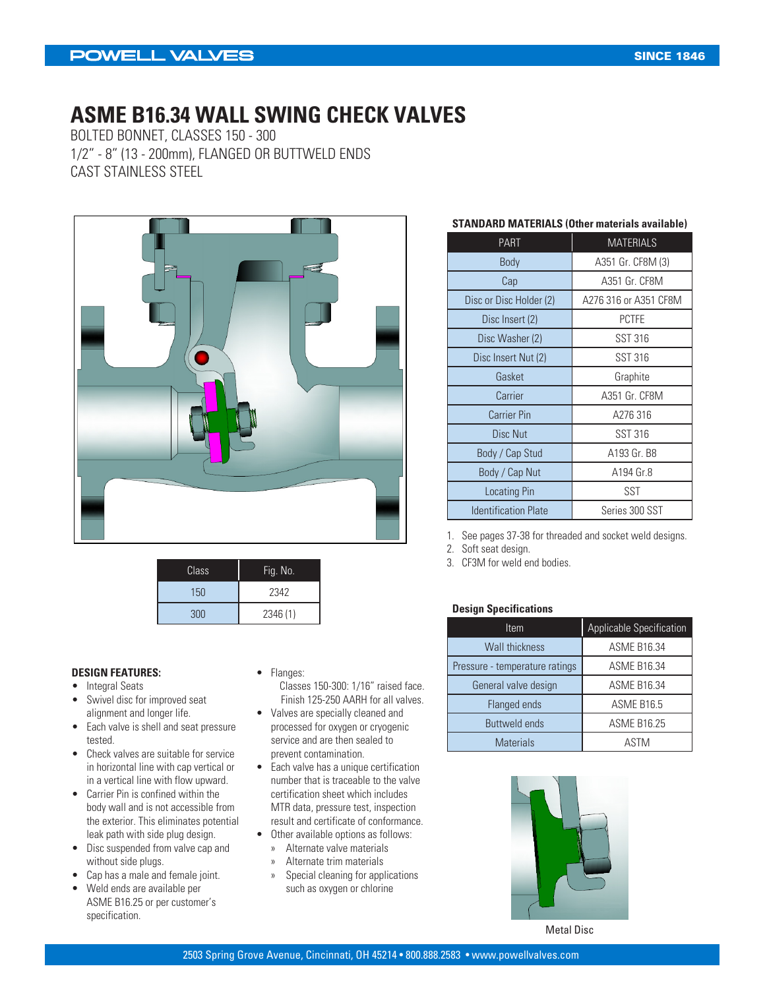### **POWELL VALVES**

### **ASME B16.34 WALL SWING CHECK VALVES**

BOLTED BONNET, CLASSES 150 - 300 1/2" - 8" (13 - 200mm), FLANGED OR BUTTWELD ENDS CAST STAINLESS STEEL



| Class | Fig. No. |  |  |  |  |
|-------|----------|--|--|--|--|
| 150   | 2342     |  |  |  |  |
| 300   | 2346 (1) |  |  |  |  |

#### **DESIGN FEATURES:**

- Integral Seats
- Swivel disc for improved seat alignment and longer life.
- Each valve is shell and seat pressure tested.
- Check valves are suitable for service in horizontal line with cap vertical or in a vertical line with flow upward.
- Carrier Pin is confined within the body wall and is not accessible from the exterior. This eliminates potential leak path with side plug design.
- Disc suspended from valve cap and without side plugs.
- Cap has a male and female joint.
- Weld ends are available per ASME B16.25 or per customer's specification.
- Flanges:
	- Classes 150-300: 1/16" raised face. Finish 125-250 AARH for all valves.
- Valves are specially cleaned and processed for oxygen or cryogenic service and are then sealed to prevent contamination.
- Each valve has a unique certification number that is traceable to the valve certification sheet which includes MTR data, pressure test, inspection result and certificate of conformance.
- Other available options as follows:
	- » Alternate valve materials
	- » Alternate trim materials
	- » Special cleaning for applications such as oxygen or chlorine

#### **STANDARD MATERIALS (Other materials available)**

| <b>PART</b>                 | <b>MATERIALS</b>      |  |  |  |
|-----------------------------|-----------------------|--|--|--|
| Body                        | A351 Gr. CF8M (3)     |  |  |  |
| Cap                         | A351 Gr. CF8M         |  |  |  |
| Disc or Disc Holder (2)     | A276 316 or A351 CF8M |  |  |  |
| Disc Insert (2)             | <b>PCTFE</b>          |  |  |  |
| Disc Washer (2)             | <b>SST 316</b>        |  |  |  |
| Disc Insert Nut (2)         | <b>SST 316</b>        |  |  |  |
| Gasket                      | Graphite              |  |  |  |
| Carrier                     | A351 Gr. CF8M         |  |  |  |
| <b>Carrier Pin</b>          | A276 316              |  |  |  |
| Disc Nut                    | <b>SST 316</b>        |  |  |  |
| Body / Cap Stud             | A193 Gr. B8           |  |  |  |
| Body / Cap Nut              | A194 Gr.8             |  |  |  |
| <b>Locating Pin</b>         | SST                   |  |  |  |
| <b>Identification Plate</b> | Series 300 SST        |  |  |  |

1. See pages 37-38 for threaded and socket weld designs.

2. Soft seat design.

3. CF3M for weld end bodies.

#### **Design Specifications**

| Item                           | Applicable Specification |  |  |  |  |
|--------------------------------|--------------------------|--|--|--|--|
| <b>Wall thickness</b>          | <b>ASME B16.34</b>       |  |  |  |  |
| Pressure - temperature ratings | <b>ASME B16.34</b>       |  |  |  |  |
| General valve design           | <b>ASME B16.34</b>       |  |  |  |  |
| Flanged ends                   | ASME B16.5               |  |  |  |  |
| <b>Buttweld ends</b>           | <b>ASME B16.25</b>       |  |  |  |  |
| <b>Materials</b>               | ASTM                     |  |  |  |  |



Metal Disc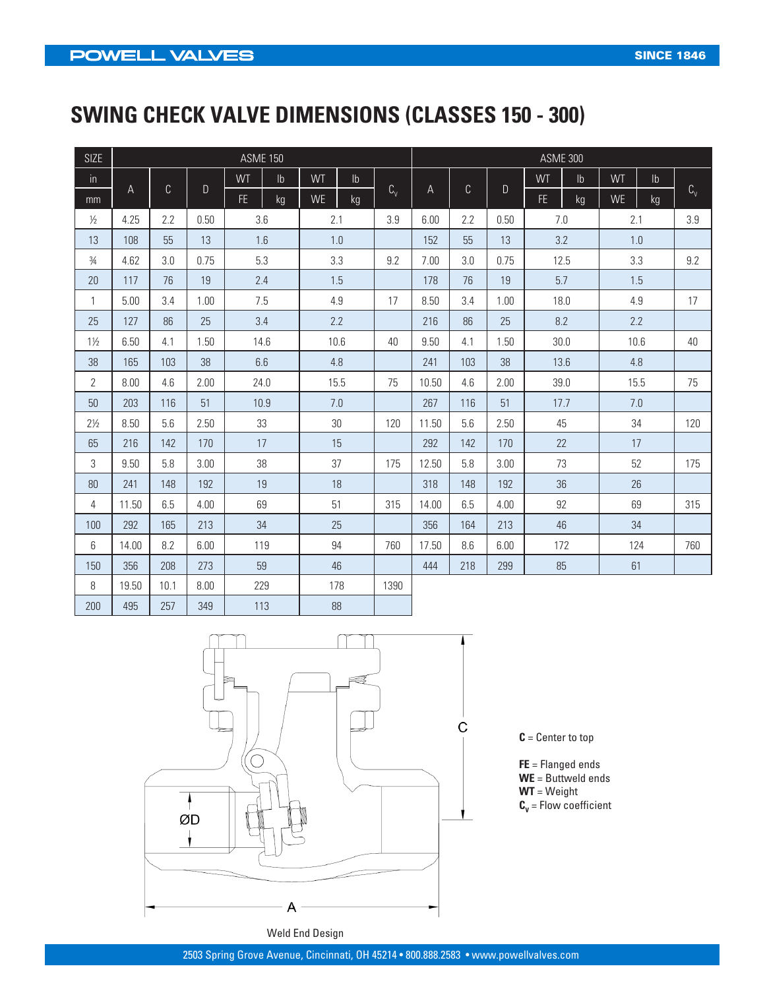# **SWING CHECK VALVE DIMENSIONS (CLASSES 150 - 300)**

| <b>SIZE</b>    |       |             |      | <b>ASME 150</b> |               |           |               |             | <b>ASME 300</b> |              |      |      |               |           |               |             |
|----------------|-------|-------------|------|-----------------|---------------|-----------|---------------|-------------|-----------------|--------------|------|------|---------------|-----------|---------------|-------------|
| $\mathsf{in}$  |       |             |      | WT              | $\mathsf{lb}$ | WT        | $\mathsf{lb}$ |             |                 |              |      | WT   | $\mathsf{lb}$ | WT        | $\mathsf{lb}$ |             |
| mm             | A     | $\mathsf C$ | D    | FE.             | kg            | <b>WE</b> | kg            | $C_{\rm v}$ | A               | $\mathbb{C}$ | D    | FE.  | kg            | <b>WE</b> | kg            | $C_{\rm v}$ |
| $\frac{1}{2}$  | 4.25  | 2.2         | 0.50 |                 | 3.6           |           | 2.1           |             | 6.00            | 2.2          | 0.50 |      | 7.0           |           | 2.1           |             |
| 13             | 108   | 55          | 13   | 1.6             |               |           | 1.0           |             | 152             | 55           | 13   |      | 3.2           | 1.0       |               |             |
| $\frac{3}{4}$  | 4.62  | 3.0         | 0.75 |                 | 5.3           |           | 3.3           | 9.2         | 7.00            | 3.0          | 0.75 |      | 12.5          |           | 3.3           | 9.2         |
| 20             | 117   | 76          | 19   |                 | 2.4           |           | 1.5           |             | 178             | 76           | 19   |      | 5.7           |           | 1.5           |             |
| 1              | 5.00  | 3.4         | 1.00 |                 | 7.5           |           | 4.9           | 17          | 8.50            | 3.4          | 1.00 |      | 18.0          |           | 4.9           | 17          |
| 25             | 127   | 86          | 25   |                 | 3.4           |           | 2.2           |             | 216             | 86           | 25   |      | 8.2           |           | 2.2           |             |
| $1\frac{1}{2}$ | 6.50  | 4.1         | 1.50 |                 | 14.6          |           | 10.6          | 40          | 9.50            | 4.1          | 1.50 |      | 30.0          |           | 10.6          |             |
| 38             | 165   | 103         | 38   |                 | 6.6           |           | 4.8           |             | 241             | 103          | 38   | 13.6 |               | 4.8       |               |             |
| $\overline{2}$ | 8.00  | 4.6         | 2.00 |                 | 24.0          |           | 15.5          | 75          | 10.50           | 4.6          | 2.00 |      | 39.0          |           | 15.5          | 75          |
| 50             | 203   | 116         | 51   |                 | 10.9          |           | 7.0           |             | 267             | 116          | 51   | 17.7 |               |           | 7.0           |             |
| $2\frac{1}{2}$ | 8.50  | 5.6         | 2.50 | 33              |               |           | 30            | 120         | 11.50           | 5.6          | 2.50 |      | 45            |           | 34            | 120         |
| 65             | 216   | 142         | 170  | 17              |               |           | 15            |             | 292             | 142          | 170  |      | 22            |           | 17            |             |
| 3              | 9.50  | 5.8         | 3.00 |                 | 38            |           | 37            | 175         | 12.50           | 5.8          | 3.00 |      | 73            |           | 52            | 175         |
| 80             | 241   | 148         | 192  |                 | 19            |           | 18            |             | 318             | 148          | 192  |      | 36            |           | 26            |             |
| 4              | 11.50 | 6.5         | 4.00 | 69              |               |           | 51            | 315         | 14.00           | 6.5          | 4.00 |      | 92            |           | 69            | 315         |
| 100            | 292   | 165         | 213  | 34              |               |           | 25            |             | 356             | 164          | 213  | 46   |               |           | 34            |             |
| 6              | 14.00 | 8.2         | 6.00 | 119             |               |           | 94            | 760         | 17.50           | 8.6          | 6.00 |      | 172           |           | 124           | 760         |
| 150            | 356   | 208         | 273  | 59              |               |           | 46            |             | 444             | 218          | 299  |      | 85            |           | 61            |             |
| 8              | 19.50 | 10.1        | 8.00 | 229             |               |           | 178           | 1390        |                 |              |      |      |               |           |               |             |
| 200            | 495   | 257         | 349  |                 | 113           |           | 88            |             |                 |              |      |      |               |           |               |             |



**C** = Center to top

**FE** = Flanged ends **WE** = Buttweld ends **WT** = Weight  $\textbf{C}_{\textbf{v}}$  = Flow coefficient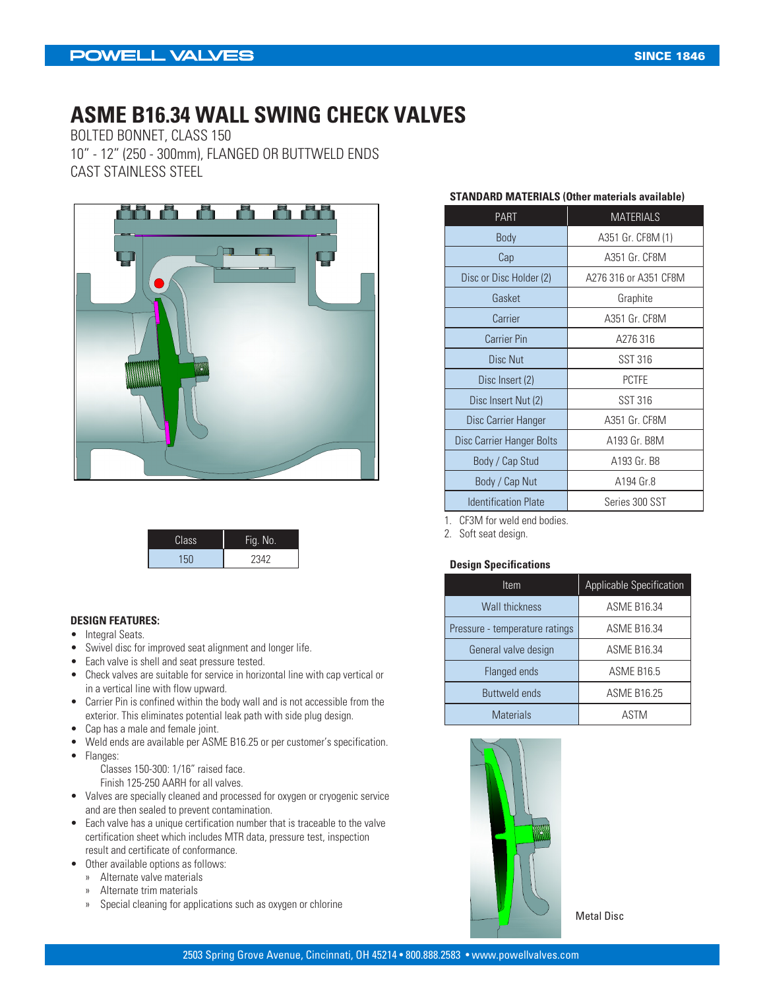# **ASME B16.34 WALL SWING CHECK VALVES**

BOLTED BONNET, CLASS 150 10" - 12" (250 - 300mm), FLANGED OR BUTTWELD ENDS CAST STAINLESS STEEL



| Class | Fig. No. |
|-------|----------|
| 150   | 2342     |

#### **DESIGN FEATURES:**

- Integral Seats.
- Swivel disc for improved seat alignment and longer life.
- Each valve is shell and seat pressure tested.
- Check valves are suitable for service in horizontal line with cap vertical or in a vertical line with flow upward.
- Carrier Pin is confined within the body wall and is not accessible from the exterior. This eliminates potential leak path with side plug design.
- Cap has a male and female joint.
- Weld ends are available per ASME B16.25 or per customer's specification.
- Flanges:

Classes 150-300: 1/16" raised face. Finish 125-250 AARH for all valves.

- Valves are specially cleaned and processed for oxygen or cryogenic service and are then sealed to prevent contamination.
- Each valve has a unique certification number that is traceable to the valve certification sheet which includes MTR data, pressure test, inspection result and certificate of conformance.
- Other available options as follows:
	- » Alternate valve materials
	- » Alternate trim materials
	- » Special cleaning for applications such as oxygen or chlorine

#### **STANDARD MATERIALS (Other materials available)**

| <b>PART</b>                 | <b>MATERIALS</b>      |  |  |  |  |
|-----------------------------|-----------------------|--|--|--|--|
| <b>Body</b>                 | A351 Gr. CF8M (1)     |  |  |  |  |
| Cap                         | A351 Gr. CF8M         |  |  |  |  |
| Disc or Disc Holder (2)     | A276 316 or A351 CF8M |  |  |  |  |
| Gasket                      | Graphite              |  |  |  |  |
| Carrier                     | A351 Gr. CF8M         |  |  |  |  |
| <b>Carrier Pin</b>          | A276 316              |  |  |  |  |
| <b>Disc Nut</b>             | SST 316               |  |  |  |  |
| Disc Insert (2)             | <b>PCTFE</b>          |  |  |  |  |
| Disc Insert Nut (2)         | SST 316               |  |  |  |  |
| Disc Carrier Hanger         | A351 Gr. CF8M         |  |  |  |  |
| Disc Carrier Hanger Bolts   | A193 Gr. B8M          |  |  |  |  |
| Body / Cap Stud             | A193 Gr. B8           |  |  |  |  |
| Body / Cap Nut              | A194 Gr.8             |  |  |  |  |
| <b>Identification Plate</b> | Series 300 SST        |  |  |  |  |

1. CF3M for weld end bodies.

2. Soft seat design.

#### **Design Specifications**

| Item                           | <b>Applicable Specification</b> |
|--------------------------------|---------------------------------|
| <b>Wall thickness</b>          | <b>ASME B16.34</b>              |
| Pressure - temperature ratings | <b>ASME B16.34</b>              |
| General valve design           | <b>ASME B16.34</b>              |
| Flanged ends                   | ASME B16.5                      |
| <b>Buttweld ends</b>           | <b>ASME B16.25</b>              |
| <b>Materials</b>               | ASTM                            |



Metal Disc